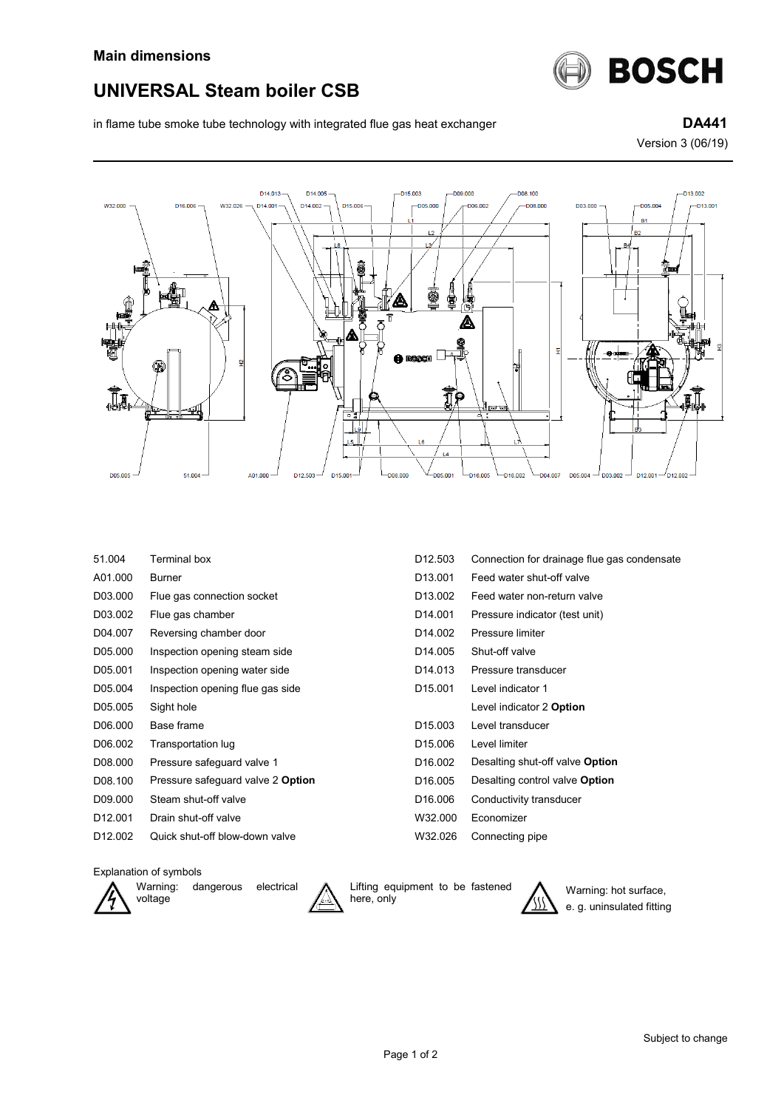

## **UNIVERSAL Steam boiler CSB**

in flame tube smoke tube technology with integrated flue gas heat exchanger **DA441** 

Version 3 (06/19)



| 51.004              | Terminal box                      | D <sub>12.503</sub> | Connection for drainage flue gas condensate |
|---------------------|-----------------------------------|---------------------|---------------------------------------------|
| A01.000             | <b>Burner</b>                     | D <sub>13.001</sub> | Feed water shut-off valve                   |
| D03.000             | Flue gas connection socket        | D <sub>13.002</sub> | Feed water non-return valve                 |
| D03.002             | Flue gas chamber                  | D <sub>14.001</sub> | Pressure indicator (test unit)              |
| D04.007             | Reversing chamber door            | D <sub>14.002</sub> | Pressure limiter                            |
| D05.000             | Inspection opening steam side     | D <sub>14.005</sub> | Shut-off valve                              |
| D05.001             | Inspection opening water side     | D <sub>14.013</sub> | Pressure transducer                         |
| D05.004             | Inspection opening flue gas side  | D <sub>15.001</sub> | Level indicator 1                           |
| D05.005             | Sight hole                        |                     | Level indicator 2 Option                    |
| D06.000             | Base frame                        | D <sub>15.003</sub> | Level transducer                            |
| D06.002             | Transportation lug                | D <sub>15.006</sub> | Level limiter                               |
| D08.000             | Pressure safeguard valve 1        | D <sub>16.002</sub> | Desalting shut-off valve Option             |
| D08.100             | Pressure safeguard valve 2 Option | D <sub>16.005</sub> | Desalting control valve Option              |
| D09.000             | Steam shut-off valve              | D <sub>16.006</sub> | Conductivity transducer                     |
| D <sub>12.001</sub> | Drain shut-off valve              | W32.000             | Economizer                                  |
| D <sub>12.002</sub> | Quick shut-off blow-down valve    | W32.026             | Connecting pipe                             |
|                     |                                   |                     |                                             |

## Explanation of symbols



Warning: dangerous electrical voltage



Lifting equipment to be fastened here, only



Warning: hot surface, e. g. uninsulated fitting